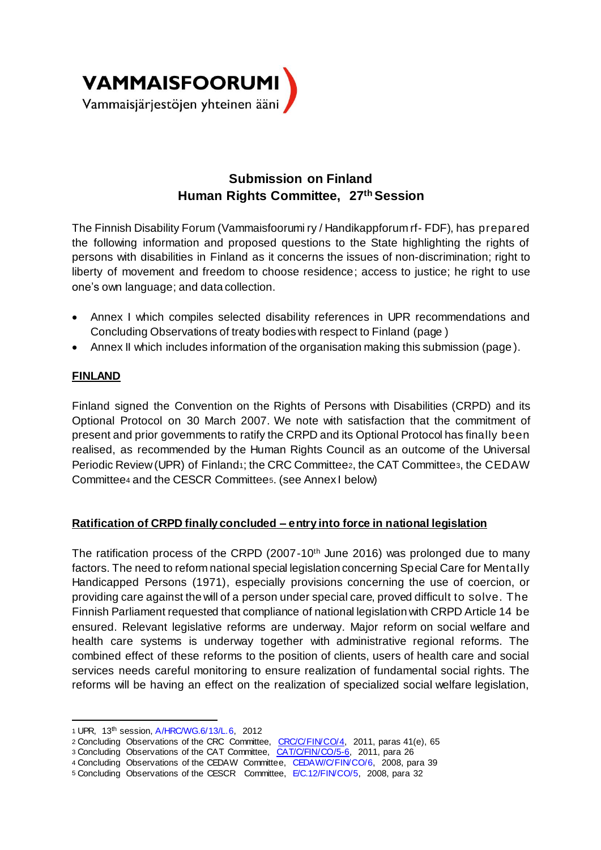

# **Submission on Finland Human Rights Committee, 27th Session**

The Finnish Disability Forum (Vammaisfoorumi ry / Handikappforum rf- FDF), has prepared the following information and proposed questions to the State highlighting the rights of persons with disabilities in Finland as it concerns the issues of non-discrimination; right to liberty of movement and freedom to choose residence; access to justice; he right to use one's own language; and data collection.

- Annex I which compiles selected disability references in UPR recommendations and Concluding Observations of treaty bodies with respect to Finland (page )
- Annex II which includes information of the organisation making this submission (page ).

# **FINLAND**

Finland signed the Convention on the Rights of Persons with Disabilities (CRPD) and its Optional Protocol on 30 March 2007. We note with satisfaction that the commitment of present and prior governments to ratify the CRPD and its Optional Protocol has finally been realised, as recommended by the Human Rights Council as an outcome of the Universal Periodic Review (UPR) of Finland1; the CRC Committee2, the CAT Committee3, the CEDAW Committee<sup>4</sup> and the CESCR Committee5. (see Annex I below)

### **Ratification of CRPD finally concluded – entry into force in national legislation**

The ratification process of the CRPD (2007-10th June 2016) was prolonged due to many factors. The need to reform national special legislation concerning Special Care for Mentally Handicapped Persons (1971), especially provisions concerning the use of coercion, or providing care against the will of a person under special care, proved difficult to solve. The Finnish Parliament requested that compliance of national legislation with CRPD Article 14 be ensured. Relevant legislative reforms are underway. Major reform on social welfare and health care systems is underway together with administrative regional reforms. The combined effect of these reforms to the position of clients, users of health care and social services needs careful monitoring to ensure realization of fundamental social rights. The reforms will be having an effect on the realization of specialized social welfare legislation,

<sup>1</sup> <sup>1</sup> UPR, 13th session, A/HRC/WG.6/13/L.6, 2012

<sup>2</sup> Concluding Observations of the CRC Committee, CRC/C/FIN/CO/4, 2011, paras 41(e), 65

<sup>3</sup> Concluding Observations of the CAT Committee, CAT/C/FIN/CO/5-6, 2011, para 26

<sup>4</sup> Concluding Observations of the CEDAW Committee, CEDAW/C/FIN/CO/6, 2008, para 39

<sup>5</sup> Concluding Observations of the CESCR Committee, E/C.12/FIN/CO/5, 2008, para 32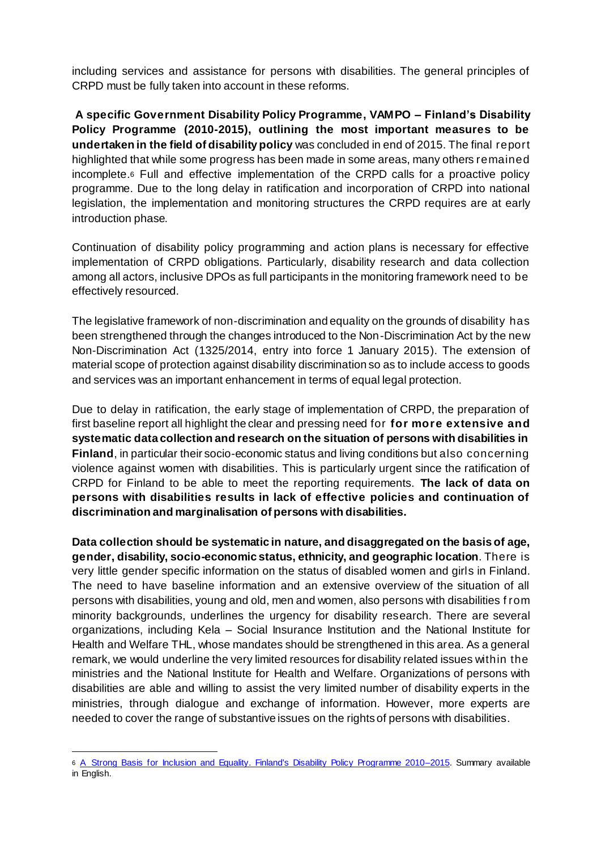including services and assistance for persons with disabilities. The general principles of CRPD must be fully taken into account in these reforms.

**A specific Government Disability Policy Programme, VAMPO – Finland's Disability Policy Programme (2010-2015), outlining the most important measures to be undertaken in the field of disability policy** was concluded in end of 2015. The final report highlighted that while some progress has been made in some areas, many others remained incomplete.<sup>6</sup> Full and effective implementation of the CRPD calls for a proactive policy programme. Due to the long delay in ratification and incorporation of CRPD into national legislation, the implementation and monitoring structures the CRPD requires are at early introduction phase.

Continuation of disability policy programming and action plans is necessary for effective implementation of CRPD obligations. Particularly, disability research and data collection among all actors, inclusive DPOs as full participants in the monitoring framework need to be effectively resourced.

The legislative framework of non-discrimination and equality on the grounds of disability has been strengthened through the changes introduced to the Non-Discrimination Act by the new Non-Discrimination Act (1325/2014, entry into force 1 January 2015). The extension of material scope of protection against disability discrimination so as to include access to goods and services was an important enhancement in terms of equal legal protection.

Due to delay in ratification, the early stage of implementation of CRPD, the preparation of first baseline report all highlight the clear and pressing need for **for more extensive and systematic data collection and research on the situation of persons with disabilities in Finland**, in particular their socio-economic status and living conditions but also concerning violence against women with disabilities. This is particularly urgent since the ratification of CRPD for Finland to be able to meet the reporting requirements. **The lack of data on persons with disabilities results in lack of effective policies and continuation of discrimination and marginalisation of persons with disabilities.**

**Data collection should be systematic in nature, and disaggregated on the basis of age, gender, disability, socio-economic status, ethnicity, and geographic location**. There is very little gender specific information on the status of disabled women and girls in Finland. The need to have baseline information and an extensive overview of the situation of all persons with disabilities, young and old, men and women, also persons with disabilities f rom minority backgrounds, underlines the urgency for disability research. There are several organizations, including Kela – Social Insurance Institution and the National Institute for Health and Welfare THL, whose mandates should be strengthened in this area. As a general remark, we would underline the very limited resources for disability related issues within the ministries and the National Institute for Health and Welfare. Organizations of persons with disabilities are able and willing to assist the very limited number of disability experts in the ministries, through dialogue and exchange of information. However, more experts are needed to cover the range of substantive issues on the rights of persons with disabilities.

<sup>1</sup> 6 A Strong Basis for Inclusion and Equality. Finland's Disability Policy Programme 2010–2015. Summary available in English.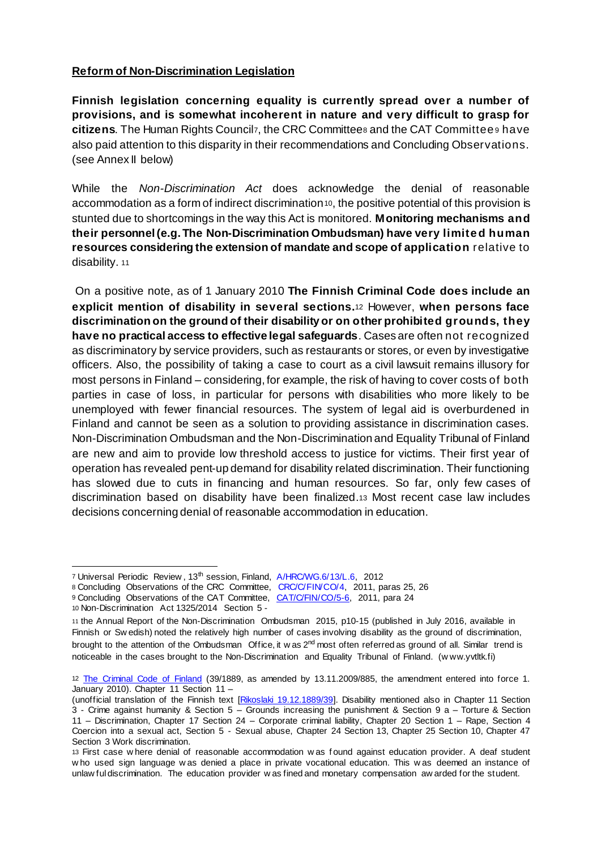#### **Reform of Non-Discrimination Legislation**

**Finnish legislation concerning equality is currently spread over a number of provisions, and is somewhat incoherent in nature and very difficult to grasp for citizens**. The Human Rights Councilz, the CRC Committees and the CAT Committees have also paid attention to this disparity in their recommendations and Concluding Observations. (see Annex II below)

While the *Non-Discrimination Act* does acknowledge the denial of reasonable accommodation as a form of indirect discrimination 10, the positive potential of this provision is stunted due to shortcomings in the way this Act is monitored. **Monitoring mechanisms and their personnel (e.g. The Non-Discrimination Ombudsman) have very limite d human resources considering the extension of mandate and scope of application** relative to disability. 11

On a positive note, as of 1 January 2010 **The Finnish Criminal Code does include an explicit mention of disability in several sections.**<sup>12</sup> However, **when persons face discrimination on the ground of their disability or on other prohibited grounds, they have no practical access to effective legal safeguards**. Cases are often not recognized as discriminatory by service providers, such as restaurants or stores, or even by investigative officers. Also, the possibility of taking a case to court as a civil lawsuit remains illusory for most persons in Finland – considering, for example, the risk of having to cover costs of both parties in case of loss, in particular for persons with disabilities who more likely to be unemployed with fewer financial resources. The system of legal aid is overburdened in Finland and cannot be seen as a solution to providing assistance in discrimination cases. Non-Discrimination Ombudsman and the Non-Discrimination and Equality Tribunal of Finland are new and aim to provide low threshold access to justice for victims. Their first year of operation has revealed pent-up demand for disability related discrimination. Their functioning has slowed due to cuts in financing and human resources. So far, only few cases of discrimination based on disability have been finalized.<sup>13</sup> Most recent case law includes decisions concerning denial of reasonable accommodation in education.

<sup>1</sup> 7 Universal Periodic Review, 13<sup>th</sup> session, Finland, A/HRC/WG.6/13/L.6, 2012

<sup>8</sup> Concluding Observations of the CRC Committee, CRC/C/FIN/CO/4, 2011, paras 25, 26

<sup>9</sup> Concluding Observations of the CAT Committee, CAT/C/FIN/CO/5-6, 2011, para 24

<sup>10</sup> Non-Discrimination Act 1325/2014 Section 5 -

<sup>11</sup> the Annual Report of the Non-Discrimination Ombudsman 2015, p10-15 (published in July 2016, available in Finnish or Sw edish) noted the relatively high number of cases involving disability as the ground of discrimination, brought to the attention of the Ombudsman Office, it w as 2<sup>nd</sup> most often referred as ground of all. Similar trend is noticeable in the cases brought to the Non-Discrimination and Equality Tribunal of Finland. (w ww.yvtltk.fi)

<sup>12</sup> The Criminal Code of Finland (39/1889, as amended by 13.11.2009/885, the amendment entered into force 1. January 2010). Chapter 11 Section 11 –

<sup>(</sup>unofficial translation of the Finnish text [Rikoslaki 19.12.1889/39]. Disability mentioned also in Chapter 11 Section 3 - Crime against humanity & Section 5 – Grounds increasing the punishment & Section 9 a – Torture & Section 11 – Discrimination, Chapter 17 Section 24 – Corporate criminal liability, Chapter 20 Section 1 – Rape, Section 4 Coercion into a sexual act, Section 5 - Sexual abuse, Chapter 24 Section 13, Chapter 25 Section 10, Chapter 47 Section 3 Work discrimination.

<sup>13</sup> First case w here denial of reasonable accommodation w as f ound against education provider. A deaf student w ho used sign language w as denied a place in private vocational education. This w as deemed an instance of unlaw ful discrimination. The education provider w as fined and monetary compensation aw arded for the student.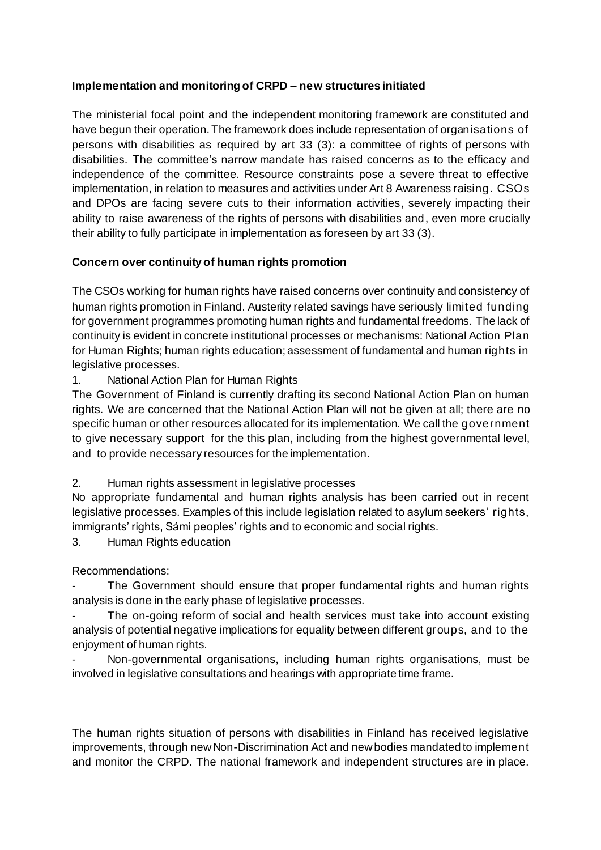### **Implementation and monitoring of CRPD – new structures initiated**

The ministerial focal point and the independent monitoring framework are constituted and have begun their operation. The framework does include representation of organisations of persons with disabilities as required by art 33 (3): a committee of rights of persons with disabilities. The committee's narrow mandate has raised concerns as to the efficacy and independence of the committee. Resource constraints pose a severe threat to effective implementation, in relation to measures and activities under Art 8 Awareness raising. CSOs and DPOs are facing severe cuts to their information activities, severely impacting their ability to raise awareness of the rights of persons with disabilities and, even more crucially their ability to fully participate in implementation as foreseen by art 33 (3).

# **Concern over continuity of human rights promotion**

The CSOs working for human rights have raised concerns over continuity and consistency of human rights promotion in Finland. Austerity related savings have seriously limited funding for government programmes promoting human rights and fundamental freedoms. The lack of continuity is evident in concrete institutional processes or mechanisms: National Action Plan for Human Rights; human rights education; assessment of fundamental and human rights in legislative processes.

# 1. National Action Plan for Human Rights

The Government of Finland is currently drafting its second National Action Plan on human rights. We are concerned that the National Action Plan will not be given at all; there are no specific human or other resources allocated for its implementation. We call the government to give necessary support for the this plan, including from the highest governmental level, and to provide necessary resources for the implementation.

2. Human rights assessment in legislative processes

No appropriate fundamental and human rights analysis has been carried out in recent legislative processes. Examples of this include legislation related to asylum seekers' rights, immigrants' rights, Sámi peoples' rights and to economic and social rights.

3. Human Rights education

Recommendations:

The Government should ensure that proper fundamental rights and human rights analysis is done in the early phase of legislative processes.

The on-going reform of social and health services must take into account existing analysis of potential negative implications for equality between different groups, and to the enjoyment of human rights.

- Non-governmental organisations, including human rights organisations, must be involved in legislative consultations and hearings with appropriate time frame.

The human rights situation of persons with disabilities in Finland has received legislative improvements, through new Non-Discrimination Act and new bodies mandated to implement and monitor the CRPD. The national framework and independent structures are in place.